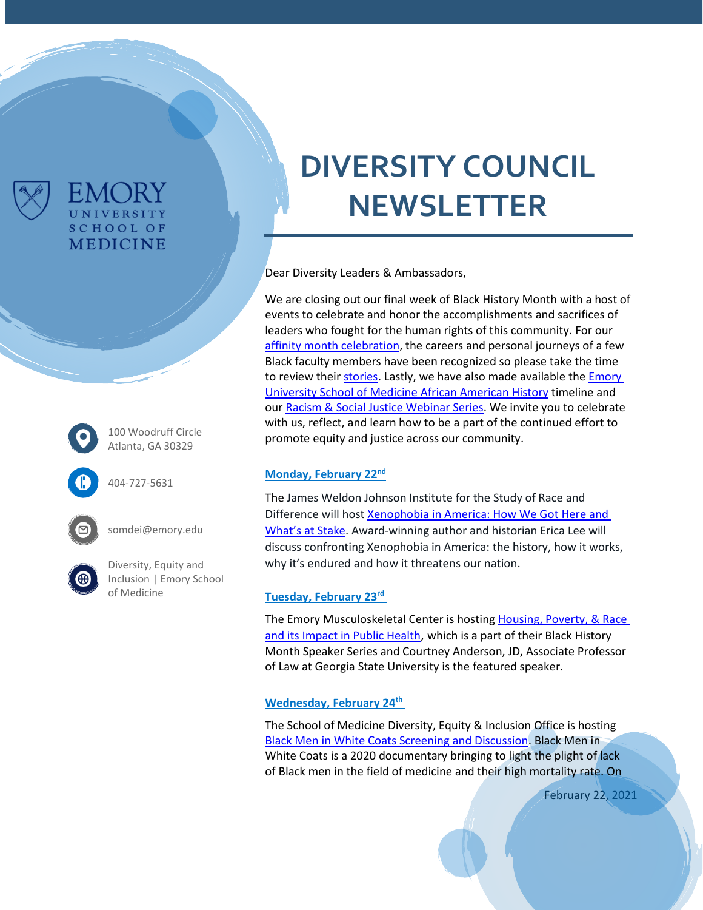

100 Woodruff Circle Atlanta, GA 30329

FMC JRY UNIVERSITY **SCHOOL OF MEDICINE** 

404-727-5631



somdei@emory.edu

[Diversity, Equity and](https://www.med.emory.edu/about/diversity/index.html)  [Inclusion | Emory School](https://www.med.emory.edu/about/diversity/index.html)  [of Medicine](https://www.med.emory.edu/about/diversity/index.html)

# **DIVERSITY COUNCIL NEWSLETTER**

Dear Diversity Leaders & Ambassadors,

We are closing out our final week of Black History Month with a host of events to celebrate and honor the accomplishments and sacrifices of leaders who fought for the human rights of this community. For our [affinity month celebration,](https://www.med.emory.edu/about/diversity/affinity_months.html) the careers and personal journeys of a few Black faculty members have been recognized so please take the time to review their [stories.](https://sway.office.com/ZeTExRifeUQ3BK0b?ref=Link) Lastly, we have also made available the **Emory** [University School of Medicine African American History](https://prezi.com/view/2yfRTVPqGhfWynYtLrZF/) timeline and our [Racism & Social Justice Webinar Series.](https://www.med.emory.edu/about/diversity/webinar-video-archive.html) We invite you to celebrate with us, reflect, and learn how to be a part of the continued effort to promote equity and justice across our community.

### **Monday, February 22nd**

The James Weldon Johnson Institute for the Study of Race and Difference will host [Xenophobia in America: How We Got Here and](http://jamesweldonjohnson.emory.edu/home/colloquium/index.html?trumbaEmbed=eventid%3D150426199%26seotitle%3DXenophobia-in-America-How-We-Got-Here-and-Whats-at-Stake%26view%3Devent%26-childview%3D)  Wha[t's at Stake](http://jamesweldonjohnson.emory.edu/home/colloquium/index.html?trumbaEmbed=eventid%3D150426199%26seotitle%3DXenophobia-in-America-How-We-Got-Here-and-Whats-at-Stake%26view%3Devent%26-childview%3D). Award-winning author and historian Erica Lee will discuss confronting Xenophobia in America: the history, how it works, why it's endured and how it threatens our nation.

### **Tuesday, February 23rd**

The Emory Musculoskeletal Center is hosting Housing, Poverty, & Race [and its Impact in Public Health](https://emoryhealthcare.zoom.us/j/83856600164), which is a part of their Black History Month Speaker Series and Courtney Anderson, JD, Associate Professor of Law at Georgia State University is the featured speaker.

### **Wednesday, February 24th**

The School of Medicine Diversity, Equity & Inclusion Office is hosting [Black Men in White Coats Screening and Discussion.](https://med.emory.edu/about/diversity/bhm.html) Black Men in White Coats is a 2020 documentary bringing to light the plight of lack of Black men in the field of medicine and their high mortality rate. On

February 22, 2021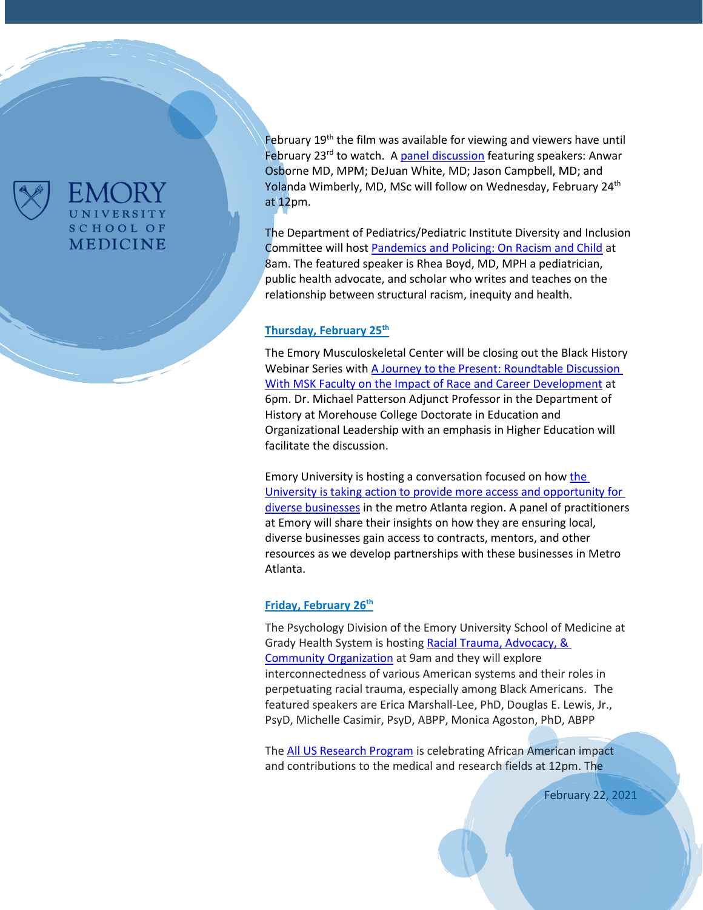

## UNIVERSITY **SCHOOL OF** MEDICINE

February 19<sup>th</sup> the film was available for viewing and viewers have until February 23<sup>rd</sup> to watch. A [panel discussion](https://eventactions.com/eareg.aspx?ea=Rsvp) featuring speakers: Anwar Osborne MD, MPM; DeJuan White, MD; Jason Campbell, MD; and Yolanda Wimberly, MD, MSc will follow on Wednesday, February 24<sup>th</sup> at 12pm.

The Department of Pediatrics/Pediatric Institute Diversity and Inclusion Committee will hos[t Pandemics and Policing: On Racism and Child](https://us02web.zoom.us/webinar/register/WN_uhyOzM2VSCqDjfOdYyNe_Q) at 8am. The featured speaker is Rhea Boyd, MD, MPH a pediatrician, public health advocate, and scholar who writes and teaches on the relationship between structural racism, inequity and health.

#### **Thursday, February 25th**

The Emory Musculoskeletal Center will be closing out the Black History Webinar Series with [A Journey to the Present: Roundtable Discussion](https://emoryhealthcare.zoom.us/j/84918425197#success)  With MSK Faculty [on the Impact of Race and Career Development](https://emoryhealthcare.zoom.us/j/84918425197#success) at 6pm. Dr. Michael Patterson Adjunct Professor in the Department of History at Morehouse College Doctorate in Education and Organizational Leadership with an emphasis in Higher Education will facilitate the discussion.

Emory University is hosting a conversation focused on how the [University is taking action to provide more access and opportunity for](https://www.engage.emory.edu/EmoryDiverseBusiness)  [diverse businesses](https://www.engage.emory.edu/EmoryDiverseBusiness) in the metro Atlanta region. A panel of practitioners at Emory will share their insights on how they are ensuring local, diverse businesses gain access to contracts, mentors, and other resources as we develop partnerships with these businesses in Metro Atlanta.

### **Friday, February 26th**

The Psychology Division of the Emory University School of Medicine at Grady Health System is hosting Racial Trauma, Advocacy, & [Community Organization](https://form.jotform.com/202504603044138) at 9am and they will explore interconnectedness of various American systems and their roles in perpetuating racial trauma, especially among Black Americans. The featured speakers are Erica Marshall-Lee, PhD, Douglas E. Lewis, Jr., PsyD, Michelle Casimir, PsyD, ABPP, Monica Agoston, PhD, ABPP

The All US [Research](https://www.eventbrite.com/e/celebrating-african-american-researchers-tickets-140923332481) Program is celebrating African American impact and contributions to the medical and research fields at 12pm. The

February 22, 2021